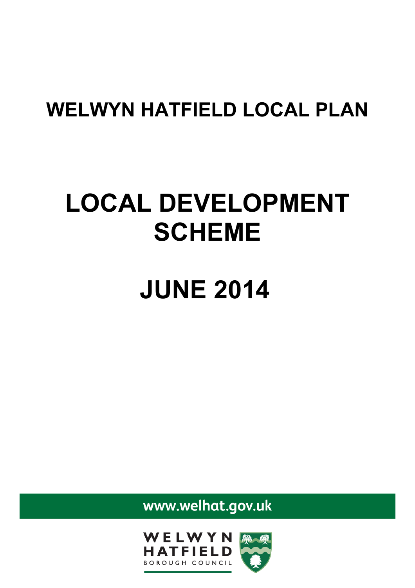## **WELWYN HATFIELD LOCAL PLAN**

## **LOCAL DEVELOPMENT SCHEME**

## **JUNE 2014**

www.welhat.gov.uk

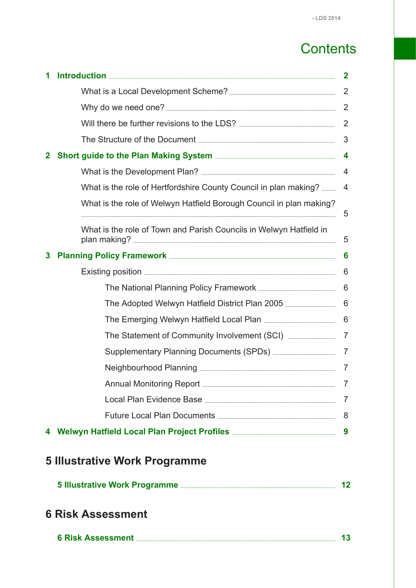## **Contents**

| 1            |                                                                     | $\mathbf{2}$            |
|--------------|---------------------------------------------------------------------|-------------------------|
|              |                                                                     | $\overline{2}$          |
|              |                                                                     | 2                       |
|              |                                                                     | 2                       |
|              |                                                                     | 3                       |
| $\mathbf{2}$ |                                                                     | $\overline{\mathbf{4}}$ |
|              |                                                                     | $\overline{4}$          |
|              | What is the role of Hertfordshire County Council in plan making?    | 4                       |
|              | What is the role of Welwyn Hatfield Borough Council in plan making? | 5                       |
|              | What is the role of Town and Parish Councils in Welwyn Hatfield in  | 5                       |
| 3            |                                                                     | 6                       |
|              |                                                                     | 6                       |
|              |                                                                     | 6                       |
|              |                                                                     | 6                       |
|              |                                                                     |                         |
|              |                                                                     |                         |
|              |                                                                     |                         |
|              |                                                                     | $\overline{7}$          |
|              |                                                                     |                         |
|              |                                                                     |                         |
|              |                                                                     |                         |
|              |                                                                     |                         |
|              | <b>5 Illustrative Work Programme</b>                                |                         |
|              |                                                                     |                         |
|              | <b>6 Risk Assessment</b>                                            |                         |
|              |                                                                     |                         |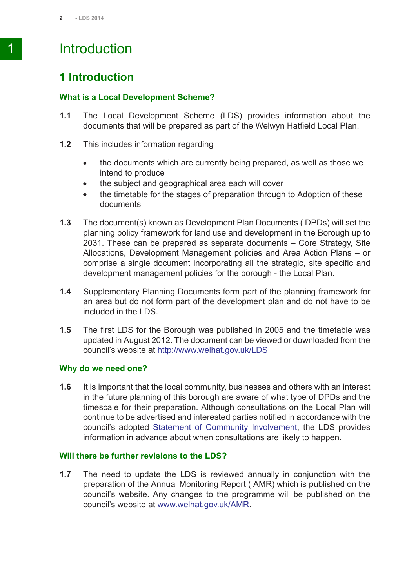## 1 Introduction

#### <span id="page-2-0"></span>**1 Introduction**

#### <span id="page-2-1"></span>**What is a Local Development Scheme?**

- **1.1** The Local Development Scheme (LDS) provides information about the documents that will be prepared as part of the Welwyn Hatfield Local Plan.
- **1.2** This includes information regarding
	- the documents which are currently being prepared, as well as those we  $\bullet$ intend to produce
	- the subject and geographical area each will cover  $\bullet$
	- the timetable for the stages of preparation through to Adoption of these documents
- **1.3** The document(s) known as Development Plan Documents ( DPDs) will set the planning policy framework for land use and development in the Borough up to 2031. These can be prepared as separate documents – Core Strategy, Site Allocations, Development Management policies and Area Action Plans – or comprise a single document incorporating all the strategic, site specific and development management policies for the borough - the Local Plan.
- **1.4** Supplementary Planning Documents form part of the planning framework for an area but do not form part of the development plan and do not have to be included in the LDS.
- <span id="page-2-2"></span>**1.5** The first LDS for the Borough was published in 2005 and the timetable was updated in August 2012. The document can be viewed or downloaded from the council's website at <http://www.welhat.gov.uk/LDS>

#### **Why do we need one?**

<span id="page-2-3"></span>**1.6** It is important that the local community, businesses and others with an interest in the future planning of this borough are aware of what type of DPDs and the timescale for their preparation. Although consultations on the Local Plan will continue to be advertised and interested parties notified in accordance with the council's adopted Statement of Community [Involvement](http://www.welhat.gov.uk/CHttpHandler.ashx?id=2378&p=0), the LDS provides information in advance about when consultations are likely to happen.

#### **Will there be further revisions to the LDS?**

**1.7** The need to update the LDS is reviewed annually in conjunction with the preparation of the Annual Monitoring Report ( AMR) which is published on the council's website. Any changes to the programme will be published on the council's website at [www.welhat.gov.uk/AMR.](http://www.welhat.gov.uk/AMR)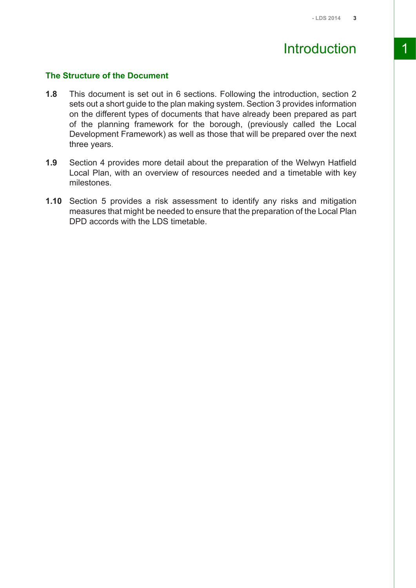## Introduction 1

#### <span id="page-3-0"></span>**The Structure of the Document**

- **1.8** This document is set out in 6 sections. Following the introduction, section 2 sets out a short guide to the plan making system. Section 3 provides information on the different types of documents that have already been prepared as part of the planning framework for the borough, (previously called the Local Development Framework) as well as those that will be prepared over the next three years.
- **1.9** Section 4 provides more detail about the preparation of the Welwyn Hatfield Local Plan, with an overview of resources needed and a timetable with key milestones.
- **1.10** Section 5 provides a risk assessment to identify any risks and mitigation measures that might be needed to ensure that the preparation of the Local Plan DPD accords with the LDS timetable.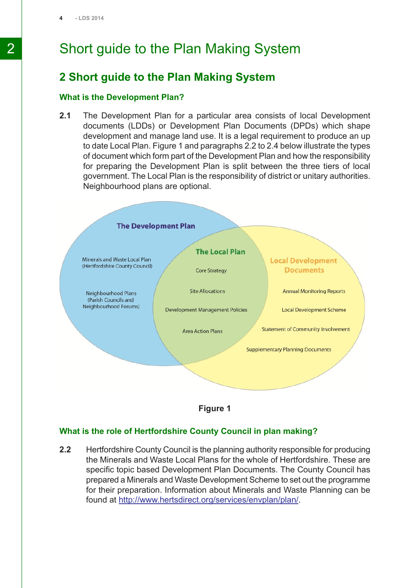## 2 Short guide to the Plan Making System

#### <span id="page-4-0"></span>**2 Short guide to the Plan Making System**

#### <span id="page-4-1"></span>**What is the Development Plan?**

**2.1** The Development Plan for a particular area consists of local Development documents (LDDs) or Development Plan Documents (DPDs) which shape development and manage land use. It is a legal requirement to produce an up to date Local Plan. Figure 1 and paragraphs 2.2 to 2.4 below illustrate the types of document which form part of the Development Plan and how the responsibility for preparing the Development Plan is split between the three tiers of local government. The Local Plan is the responsibility of district or unitary authorities. Neighbourhood plans are optional.





#### <span id="page-4-2"></span>**What is the role of Hertfordshire County Council in plan making?**

**2.2** Hertfordshire County Council is the planning authority responsible for producing the Minerals and Waste Local Plans for the whole of Hertfordshire. These are specific topic based Development Plan Documents. The County Council has prepared a Minerals and Waste Development Scheme to set out the programme for their preparation. Information about Minerals and Waste Planning can be found at <http://www.hertsdirect.org/services/envplan/plan/>.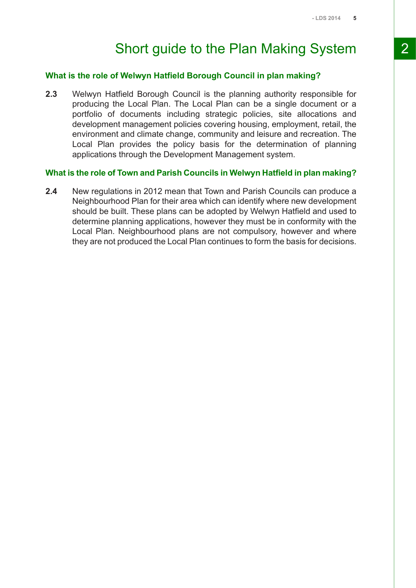## Short guide to the Plan Making System 2

#### <span id="page-5-0"></span>**What is the role of Welwyn Hatfield Borough Council in plan making?**

**2.3** Welwyn Hatfield Borough Council is the planning authority responsible for producing the Local Plan. The Local Plan can be a single document or a portfolio of documents including strategic policies, site allocations and development management policies covering housing, employment, retail, the environment and climate change, community and leisure and recreation. The Local Plan provides the policy basis for the determination of planning applications through the Development Management system.

#### <span id="page-5-1"></span>**What is the role of Town and Parish Councils in Welwyn Hatfield in plan making?**

**2.4** New regulations in 2012 mean that Town and Parish Councils can produce a Neighbourhood Plan for their area which can identify where new development should be built. These plans can be adopted by Welwyn Hatfield and used to determine planning applications, however they must be in conformity with the Local Plan. Neighbourhood plans are not compulsory, however and where they are not produced the Local Plan continues to form the basis for decisions.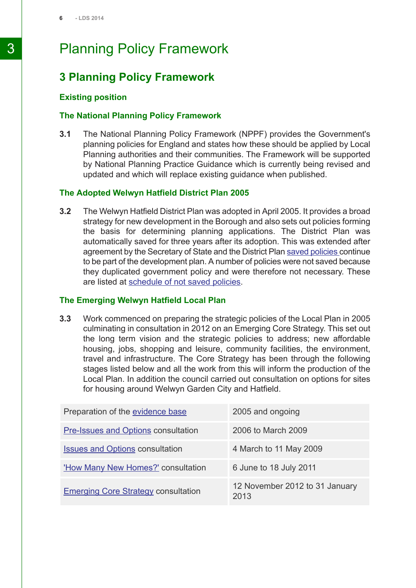## 3 Planning Policy Framework

#### <span id="page-6-0"></span>**3 Planning Policy Framework**

#### <span id="page-6-2"></span><span id="page-6-1"></span>**Existing position**

#### **The National Planning Policy Framework**

**3.1** The National Planning Policy Framework (NPPF) provides the Government's planning policies for England and states how these should be applied by Local Planning authorities and their communities. The Framework will be supported by National Planning Practice Guidance which is currently being revised and updated and which will replace existing guidance when published.

#### <span id="page-6-3"></span>**The Adopted Welwyn Hatfield District Plan 2005**

**3.2** The Welwyn Hatfield District Plan was adopted in April 2005. It provides a broad strategy for new development in the Borough and also sets out policies forming the basis for determining planning applications. The District Plan was automatically saved for three years after its adoption. This was extended after agreement by the Secretary of State and the District Plan saved [policies](http://www.welhat.gov.uk/CHttpHandler.ashx?id=701&p=0) continue to be part of the development plan. A number of policies were not saved because they duplicated government policy and were therefore not necessary. These are listed at [schedule](http://www.welhat.gov.uk/CHttpHandler.ashx?id=883&p=0) of not saved policies.

#### <span id="page-6-4"></span>**The Emerging Welwyn Hatfield Local Plan**

**3.3** Work commenced on preparing the strategic policies of the Local Plan in 2005 culminating in consultation in 2012 on an Emerging Core Strategy. This set out the long term vision and the strategic policies to address; new affordable housing, jobs, shopping and leisure, community facilities, the environment, travel and infrastructure. The Core Strategy has been through the following stages listed below and all the work from this will inform the production of the Local Plan. In addition the council carried out consultation on options for sites for housing around Welwyn Garden City and Hatfield.

| Preparation of the evidence base           | 2005 and ongoing                       |
|--------------------------------------------|----------------------------------------|
| <b>Pre-Issues and Options consultation</b> | 2006 to March 2009                     |
| <b>Issues and Options consultation</b>     | 4 March to 11 May 2009                 |
| 'How Many New Homes?' consultation         | 6 June to 18 July 2011                 |
| <b>Emerging Core Strategy consultation</b> | 12 November 2012 to 31 January<br>2013 |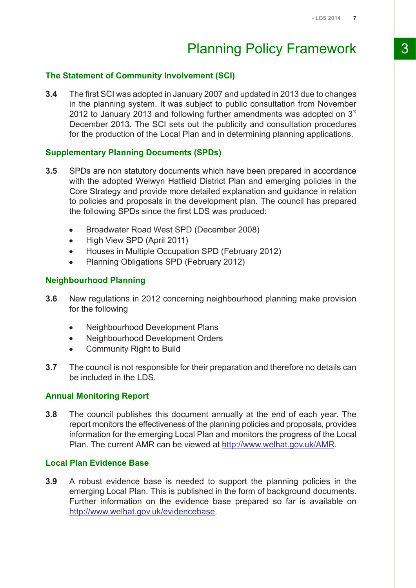## Planning Policy Framework 3

#### <span id="page-7-0"></span>**The Statement of Community Involvement (SCI)**

**3.4** The first SCI was adopted in January 2007 and updated in 2013 due to changes in the planning system. It was subject to public consultation from November 2012 to January 2013 and following further amendments was adopted on  $3<sup>rd</sup>$ December 2013. The SCI sets out the publicity and consultation procedures for the production of the Local Plan and in determining planning applications.

#### <span id="page-7-1"></span>**Supplementary Planning Documents (SPDs)**

- **3.5** SPDs are non statutory documents which have been prepared in accordance with the adopted Welwyn Hatfield District Plan and emerging policies in the Core Strategy and provide more detailed explanation and guidance in relation to policies and proposals in the development plan. The council has prepared the following SPDs since the first LDS was produced:
	- Broadwater Road West SPD (December 2008)  $\bullet$
	- High View SPD (April 2011)  $\bullet$
	- Houses in Multiple Occupation SPD (February 2012)  $\bullet$
	- Planning Obligations SPD (February 2012)  $\bullet$

#### <span id="page-7-2"></span>**Neighbourhood Planning**

- **3.6** New regulations in 2012 concerning neighbourhood planning make provision for the following
	- Neighbourhood Development Plans
	- Neighbourhood Development Orders  $\bullet$
	- Community Right to Build
- <span id="page-7-3"></span>**3.7** The council is not responsible for their preparation and therefore no details can be included in the LDS.

#### **Annual Monitoring Report**

<span id="page-7-4"></span>**3.8** The council publishes this document annually at the end of each year. The report monitors the effectiveness of the planning policies and proposals, provides information for the emerging Local Plan and monitors the progress of the Local Plan. The current AMR can be viewed at [http://www.welhat.gov.uk/AMR.](http://www.welhat.gov.uk/AMR)

#### **Local Plan Evidence Base**

**3.9** A robust evidence base is needed to support the planning policies in the emerging Local Plan. This is published in the form of background documents. Further information on the evidence base prepared so far is available on [http://www.welhat.gov.uk/evidencebase.](http://www.welhat.gov.uk/evidencebase)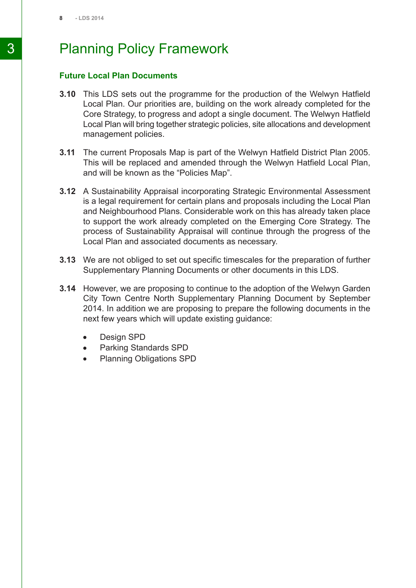## 3 Planning Policy Framework

#### <span id="page-8-0"></span>**Future Local Plan Documents**

- **3.10** This LDS sets out the programme for the production of the Welwyn Hatfield Local Plan. Our priorities are, building on the work already completed for the Core Strategy, to progress and adopt a single document. The Welwyn Hatfield Local Plan will bring together strategic policies, site allocations and development management policies.
- **3.11** The current Proposals Map is part of the Welwyn Hatfield District Plan 2005. This will be replaced and amended through the Welwyn Hatfield Local Plan, and will be known as the "Policies Map".
- **3.12** A Sustainability Appraisal incorporating Strategic Environmental Assessment is a legal requirement for certain plans and proposals including the Local Plan and Neighbourhood Plans. Considerable work on this has already taken place to support the work already completed on the Emerging Core Strategy. The process of Sustainability Appraisal will continue through the progress of the Local Plan and associated documents as necessary.
- **3.13** We are not obliged to set out specific timescales for the preparation of further Supplementary Planning Documents or other documents in this LDS.
- **3.14** However, we are proposing to continue to the adoption of the Welwyn Garden City Town Centre North Supplementary Planning Document by September 2014. In addition we are proposing to prepare the following documents in the next few years which will update existing guidance:
	- Design SPD  $\bullet$
	- Parking Standards SPD  $\bullet$
	- Planning Obligations SPD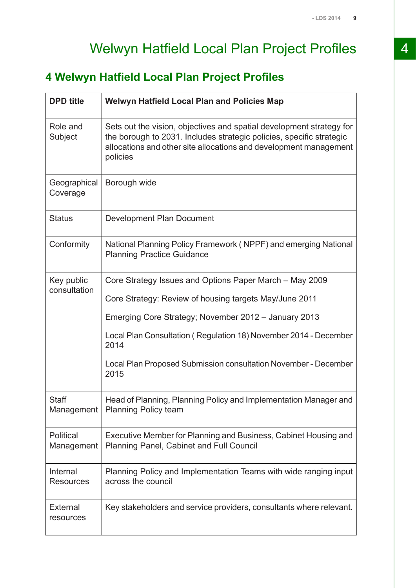## Welwyn Hatfield Local Plan Project Profiles 4

## <span id="page-9-0"></span>**4 Welwyn Hatfield Local Plan Project Profiles**

| <b>DPD</b> title               | <b>Welwyn Hatfield Local Plan and Policies Map</b>                                                                                                                                                                            |
|--------------------------------|-------------------------------------------------------------------------------------------------------------------------------------------------------------------------------------------------------------------------------|
| Role and<br>Subject            | Sets out the vision, objectives and spatial development strategy for<br>the borough to 2031. Includes strategic policies, specific strategic<br>allocations and other site allocations and development management<br>policies |
| Geographical<br>Coverage       | Borough wide                                                                                                                                                                                                                  |
| <b>Status</b>                  | Development Plan Document                                                                                                                                                                                                     |
| Conformity                     | National Planning Policy Framework (NPPF) and emerging National<br><b>Planning Practice Guidance</b>                                                                                                                          |
| Key public<br>consultation     | Core Strategy Issues and Options Paper March – May 2009                                                                                                                                                                       |
|                                | Core Strategy: Review of housing targets May/June 2011                                                                                                                                                                        |
|                                | Emerging Core Strategy; November 2012 - January 2013                                                                                                                                                                          |
|                                | Local Plan Consultation (Regulation 18) November 2014 - December<br>2014                                                                                                                                                      |
|                                | Local Plan Proposed Submission consultation November - December<br>2015                                                                                                                                                       |
| <b>Staff</b><br>Management     | Head of Planning, Planning Policy and Implementation Manager and<br><b>Planning Policy team</b>                                                                                                                               |
| <b>Political</b><br>Management | Executive Member for Planning and Business, Cabinet Housing and<br>Planning Panel, Cabinet and Full Council                                                                                                                   |
| Internal<br><b>Resources</b>   | Planning Policy and Implementation Teams with wide ranging input<br>across the council                                                                                                                                        |
| External<br>resources          | Key stakeholders and service providers, consultants where relevant.                                                                                                                                                           |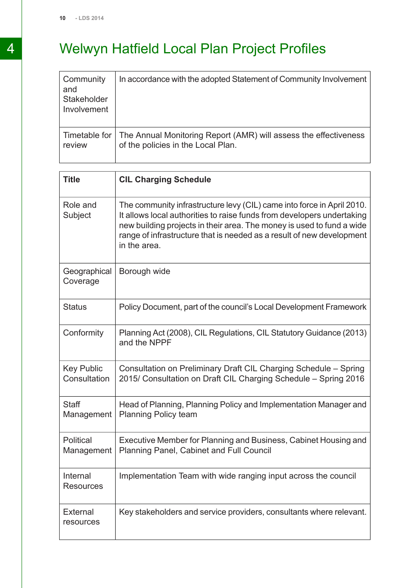## 4 Welwyn Hatfield Local Plan Project Profiles

| Community<br>and<br>Stakeholder<br>Involvement | In accordance with the adopted Statement of Community Involvement |
|------------------------------------------------|-------------------------------------------------------------------|
| Timetable for                                  | The Annual Monitoring Report (AMR) will assess the effectiveness  |
| review                                         | of the policies in the Local Plan.                                |

| <b>Title</b>                      | <b>CIL Charging Schedule</b>                                                                                                                                                                                                                                                                                       |
|-----------------------------------|--------------------------------------------------------------------------------------------------------------------------------------------------------------------------------------------------------------------------------------------------------------------------------------------------------------------|
| Role and<br>Subject               | The community infrastructure levy (CIL) came into force in April 2010.<br>It allows local authorities to raise funds from developers undertaking<br>new building projects in their area. The money is used to fund a wide<br>range of infrastructure that is needed as a result of new development<br>in the area. |
| Geographical<br>Coverage          | Borough wide                                                                                                                                                                                                                                                                                                       |
| <b>Status</b>                     | Policy Document, part of the council's Local Development Framework                                                                                                                                                                                                                                                 |
| Conformity                        | Planning Act (2008), CIL Regulations, CIL Statutory Guidance (2013)<br>and the NPPF                                                                                                                                                                                                                                |
| <b>Key Public</b><br>Consultation | Consultation on Preliminary Draft CIL Charging Schedule - Spring<br>2015/ Consultation on Draft CIL Charging Schedule - Spring 2016                                                                                                                                                                                |
| <b>Staff</b><br>Management        | Head of Planning, Planning Policy and Implementation Manager and<br><b>Planning Policy team</b>                                                                                                                                                                                                                    |
| Political<br>Management           | Executive Member for Planning and Business, Cabinet Housing and<br>Planning Panel, Cabinet and Full Council                                                                                                                                                                                                        |
| Internal<br>Resources             | Implementation Team with wide ranging input across the council                                                                                                                                                                                                                                                     |
| <b>External</b><br>resources      | Key stakeholders and service providers, consultants where relevant.                                                                                                                                                                                                                                                |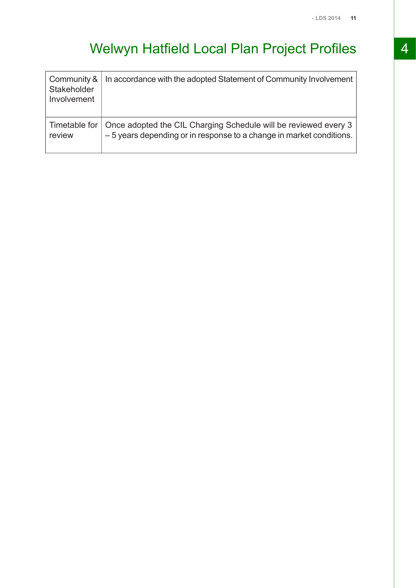## Welwyn Hatfield Local Plan Project Profiles 4

| Community &<br>Stakeholder<br>Involvement | In accordance with the adopted Statement of Community Involvement                                                                                      |
|-------------------------------------------|--------------------------------------------------------------------------------------------------------------------------------------------------------|
| review                                    | Timetable for   Once adopted the CIL Charging Schedule will be reviewed every 3<br>-5 years depending or in response to a change in market conditions. |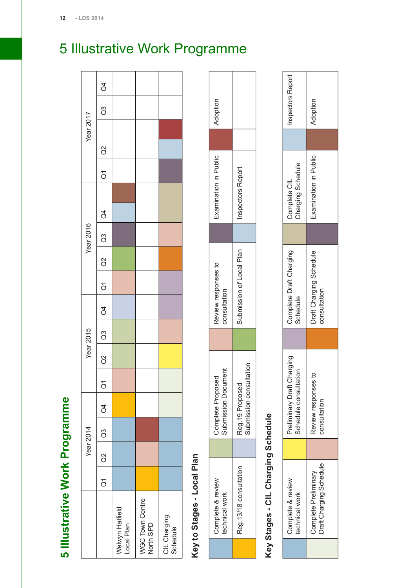<span id="page-12-0"></span>

| J                                     |
|---------------------------------------|
|                                       |
|                                       |
| I<br>l                                |
|                                       |
|                                       |
|                                       |
|                                       |
|                                       |
| ֧֧֚֚֚֚֚֚֚֚֚֚֚֚֚֚֚֚֚֚֚֚֚֚֬֡֡֓֡֡֡֬<br>٦ |
|                                       |
| ļ                                     |
|                                       |
| ٠                                     |
|                                       |
|                                       |
|                                       |
|                                       |
|                                       |
|                                       |

|                               |           | Year 2014     |               |                |        | Year 2015 |               |                    |                  | <b>Year 2016</b>                                                |           | Year 2017 |    |                |
|-------------------------------|-----------|---------------|---------------|----------------|--------|-----------|---------------|--------------------|------------------|-----------------------------------------------------------------|-----------|-----------|----|----------------|
|                               | $Q1$ $Q2$ | $\frac{3}{3}$ | $\frac{1}{6}$ | $\overline{G}$ | a<br>C | G3        | $\frac{1}{4}$ | $\frac{1}{\alpha}$ | $\overline{) \}$ | $\begin{array}{ c c } \hline \text{Q3} & \text{Q4} \end{array}$ | $Q1$ $Q2$ |           | G3 | $\overline{a}$ |
| Welwyn Hatfield<br>Local Plan |           |               |               |                |        |           |               |                    |                  |                                                                 |           |           |    |                |
| WGC Town Centre<br>North SPD  |           |               |               |                |        |           |               |                    |                  |                                                                 |           |           |    |                |
| CIL Charging<br>Schedule      |           |               |               |                |        |           |               |                    |                  |                                                                 |           |           |    |                |

## Key to Stages - Local Plan **Key to Stages - Local Plan**

| Complete & review<br>echnical work | ert<br>ubmission Docume<br>Complete Proposed | Review responses to<br>onsultation | Examination in Public   | Ndoption |
|------------------------------------|----------------------------------------------|------------------------------------|-------------------------|----------|
| Reg. 13/18 consultation            | submission consultation<br>Reg.19 Proposed   | submission of Local Plan           | <b>nspectors Report</b> |          |

# Key Stages - CIL Charging Schedule **Key Stages - CIL Charging Schedule**

| Complete & review<br>echnical work                     | Preliminary Draft Charging<br>Schedule consultation | Complete Draft Charging<br>Schedule     | Complete CIL<br>Charging Schedule | nspectors Report |
|--------------------------------------------------------|-----------------------------------------------------|-----------------------------------------|-----------------------------------|------------------|
| <b>Draft Charging Schedule</b><br>Complete Preliminary | Զ<br>Review responses<br>onsultation                | Draft Charging Schedule<br>consultation | Examination in Public             | Ndoption         |

## 5 Illustrative Work Programme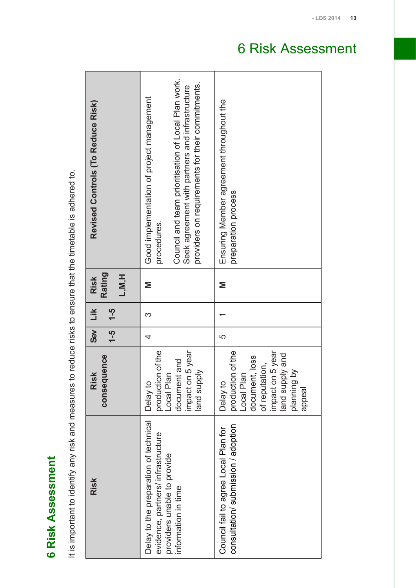<span id="page-13-0"></span>**6** Risk Assessment **Risk Assessment** It is important to identify any risk and measures to reduce risks to ensure that the timetable is adhered to. It is important to identify any risk and measures to reduce risks to ensure that the timetable is adhered to.

| - LDS 2014                              |                                                                                                                                                                                                                        |                                                                                                                                                 | 13 |
|-----------------------------------------|------------------------------------------------------------------------------------------------------------------------------------------------------------------------------------------------------------------------|-------------------------------------------------------------------------------------------------------------------------------------------------|----|
|                                         |                                                                                                                                                                                                                        | <b>Risk Assessment</b><br>6                                                                                                                     |    |
| Revised Controls (To Reduce Risk)       | Council and team prioritisation of Local Plan work.<br>providers on requirements for their commitments.<br>Seek agreement with partners and infrastructure<br>Good implementation of project management<br>procedures. | Ensuring Member agreement throughout the<br>preparation process                                                                                 |    |
| <b>Rating</b><br>L, M, H<br><b>Risk</b> | Σ                                                                                                                                                                                                                      | Σ                                                                                                                                               |    |
| $\frac{5}{1}$<br>Lik                    | က                                                                                                                                                                                                                      |                                                                                                                                                 |    |
| ශී<br>$\frac{4}{5}$                     | 4                                                                                                                                                                                                                      | ပ                                                                                                                                               |    |
| consequence<br><b>Risk</b>              | production of the<br>impact on 5 year<br>document and<br>and supply<br>Local Plan<br>Delay to                                                                                                                          | production of the<br>impact on 5 year<br>land supply and<br>document, loss<br>of reputation,<br>planning by<br>Local Plan<br>Delay to<br>appeal |    |
| <b>Risk</b>                             | Delay to the preparation of technical<br>evidence, partners/infrastructure<br>providers unable to provide<br>information in time                                                                                       | consultation/submission/adoption<br>Council fail to agree Local Plan for                                                                        |    |
|                                         |                                                                                                                                                                                                                        |                                                                                                                                                 |    |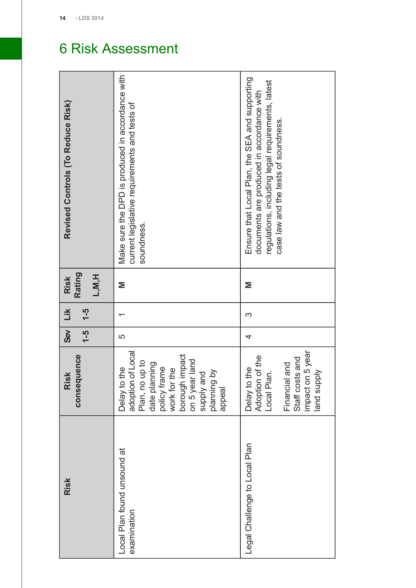| Revised Controls (To Reduce Risk)        | Make sure the DPD is produced in accordance with<br>current legislative requirements and tests of<br>soundness.                                                                                       | Ensure that Local Plan, the SEA and supporting<br>regulations, including legal requirements, latest<br>documents are produced in accordance with<br>case law and the tests of soundness. |
|------------------------------------------|-------------------------------------------------------------------------------------------------------------------------------------------------------------------------------------------------------|------------------------------------------------------------------------------------------------------------------------------------------------------------------------------------------|
| <b>Rating</b><br>L, M, H<br><b>Risk</b>  | Σ                                                                                                                                                                                                     | Σ                                                                                                                                                                                        |
| Lik<br>$\frac{5}{1}$                     |                                                                                                                                                                                                       | S                                                                                                                                                                                        |
| $\overline{\mathbf{S}}$<br>$\frac{4}{7}$ | ပ                                                                                                                                                                                                     | 4                                                                                                                                                                                        |
| consequence<br>Risk                      | adoption of Local<br>borough impact<br>on 5 year land<br>Plan, no up to<br>date planning<br>frame<br>to the<br>work for the<br>planning by<br>supply and<br>policy fi<br>appeal<br>Delay <sup>-</sup> | impact on 5 year<br>Adoption of the<br>Staff costs and<br>Financial and<br>to the<br>land supply<br>Local Plan.<br>Delay                                                                 |
| <b>Risk</b>                              | Local Plan found unsound at<br>examination                                                                                                                                                            | Legal Challenge to Local Plan                                                                                                                                                            |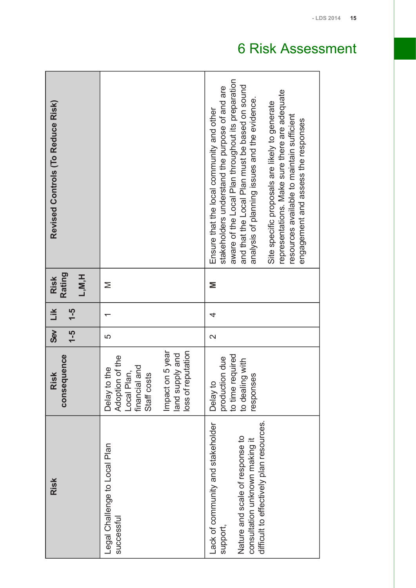|                                   |                                                                                                                                             | - LDS 2014<br><b>Risk Assessment</b><br>6                                                                                                                                                                                                                                                                                                                                                                                                   |
|-----------------------------------|---------------------------------------------------------------------------------------------------------------------------------------------|---------------------------------------------------------------------------------------------------------------------------------------------------------------------------------------------------------------------------------------------------------------------------------------------------------------------------------------------------------------------------------------------------------------------------------------------|
| Revised Controls (To Reduce Risk) |                                                                                                                                             | aware of the Local Plan throughout its preparation<br>and that the Local Plan must be based on sound<br>stakeholders understand the purpose of and are<br>representations. Make sure there are adequate<br>analysis of planning issues and the evidence<br>Site specific proposals are likely to generate<br>Ensure that the local community and other<br>resources available to maintain sufficient<br>engagement and assess the responses |
| Rating<br>L, M, H<br><b>Risk</b>  | $\geq$                                                                                                                                      | Σ                                                                                                                                                                                                                                                                                                                                                                                                                                           |
| Lik<br>$\frac{5}{1}$              | ᠇                                                                                                                                           | 4                                                                                                                                                                                                                                                                                                                                                                                                                                           |
| ශී<br>$-5$                        | LO                                                                                                                                          | $\mathbf{\Omega}$                                                                                                                                                                                                                                                                                                                                                                                                                           |
| consequence<br><b>Risk</b>        | Impact on 5 year<br>loss of reputation<br>land supply and<br>Adoption of the<br>financial and<br>Delay to the<br>Local Plan,<br>Staff costs | to time required<br>production due<br>to dealing with<br>responses<br>Delay to                                                                                                                                                                                                                                                                                                                                                              |
| <b>Risk</b>                       | Legal Challenge to Local Plan<br>successful                                                                                                 | difficult to effectively plan resources.<br>Lack of community and stakeholder<br>Nature and scale of response to<br>consultation unknown making it<br>support,                                                                                                                                                                                                                                                                              |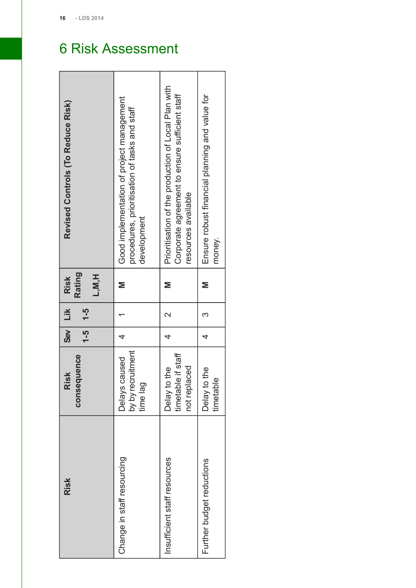$\blacksquare$ 

## 6 Risk Assessment

 $\overline{\phantom{a}}$ 

 $\overline{\phantom{a}}$ 

÷

| Revised Controls (To Reduce Risk)        | Good implementation of project management<br>procedures, prioritisation of tasks and staff<br>development | Prioritisation of the production of Local Plan with<br>Corporate agreement to ensure sufficient staff<br>resources available | Ensure robust financial planning and value for<br>money. |
|------------------------------------------|-----------------------------------------------------------------------------------------------------------|------------------------------------------------------------------------------------------------------------------------------|----------------------------------------------------------|
| <b>Rating</b><br>L, M, H<br><b>Risk</b>  | Σ                                                                                                         | Σ                                                                                                                            | Σ                                                        |
| Lik<br>$1 - 5$                           |                                                                                                           |                                                                                                                              | 3                                                        |
| $\frac{1}{2}$<br>$\overline{\mathbf{e}}$ | 4                                                                                                         | 4                                                                                                                            | 4                                                        |
| consequence<br>Risk                      | by by recruitment<br>caused<br>time lag<br><b>Delays</b>                                                  | timetable if staff<br>not replaced<br>Delay to the                                                                           | Delay to the<br>$\frac{1}{\Omega}$<br>timetal            |
| <b>Risk</b>                              | Change in staff resourcing                                                                                | Insufficient staff resources                                                                                                 | Further budget reductions                                |